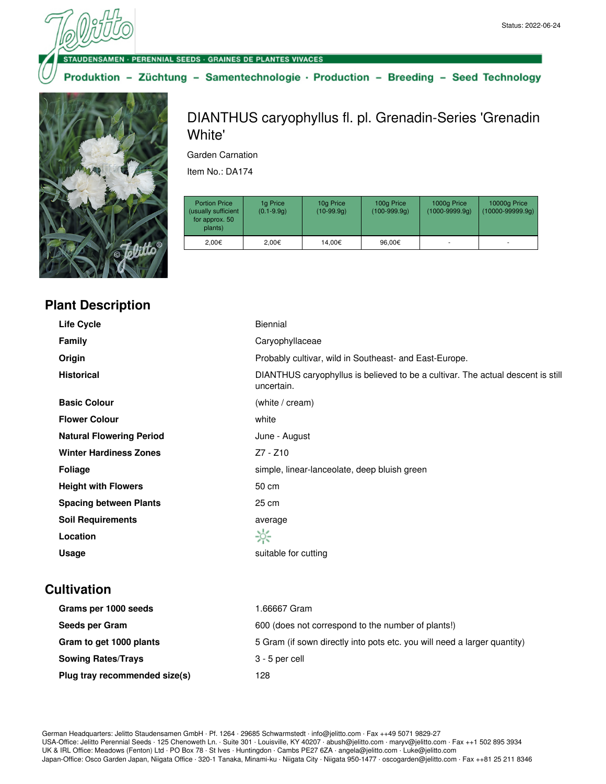· PERENNIAL SEEDS · GRAINES DE PLANTES VIVACES

Produktion - Züchtung - Samentechnologie · Production - Breeding - Seed Technology



## **Plant Description**

DIANTHUS caryophyllus fl. pl. Grenadin-Series 'Grenadin White'

Garden Carnation

Item No.: DA174

| <b>Portion Price</b><br>(usually sufficient<br>for approx. 50<br>plants) | 1g Price<br>$(0.1 - 9.9q)$ | 10g Price<br>$(10-99.9q)$ | 100g Price<br>$(100-999.9q)$ | 1000g Price<br>$(1000 - 9999.9q)$ | 10000g Price<br>$(10000 - 99999.9q)$ |
|--------------------------------------------------------------------------|----------------------------|---------------------------|------------------------------|-----------------------------------|--------------------------------------|
| 2.00€                                                                    | 2.00€                      | 14.00€                    | 96.00€                       |                                   |                                      |

| <b>Life Cycle</b>               | <b>Biennial</b>                                                                               |
|---------------------------------|-----------------------------------------------------------------------------------------------|
| <b>Family</b>                   | Caryophyllaceae                                                                               |
| Origin                          | Probably cultivar, wild in Southeast- and East-Europe.                                        |
| <b>Historical</b>               | DIANTHUS caryophyllus is believed to be a cultivar. The actual descent is still<br>uncertain. |
| <b>Basic Colour</b>             | (white / cream)                                                                               |
| <b>Flower Colour</b>            | white                                                                                         |
| <b>Natural Flowering Period</b> | June - August                                                                                 |
| <b>Winter Hardiness Zones</b>   | Z7 - Z10                                                                                      |
| <b>Foliage</b>                  | simple, linear-lanceolate, deep bluish green                                                  |
| <b>Height with Flowers</b>      | 50 cm                                                                                         |
| <b>Spacing between Plants</b>   | 25 cm                                                                                         |
| <b>Soil Requirements</b>        | average                                                                                       |
| Location                        | ☆                                                                                             |
| Usage                           | suitable for cutting                                                                          |
|                                 |                                                                                               |

## **Cultivation**

| Grams per 1000 seeds          | l.66667 Gram                                                             |
|-------------------------------|--------------------------------------------------------------------------|
| Seeds per Gram                | 600 (does not correspond to the number of plants!)                       |
| Gram to get 1000 plants       | 5 Gram (if sown directly into pots etc. you will need a larger quantity) |
| <b>Sowing Rates/Trays</b>     | 3 - 5 per cell                                                           |
| Plug tray recommended size(s) | 128                                                                      |